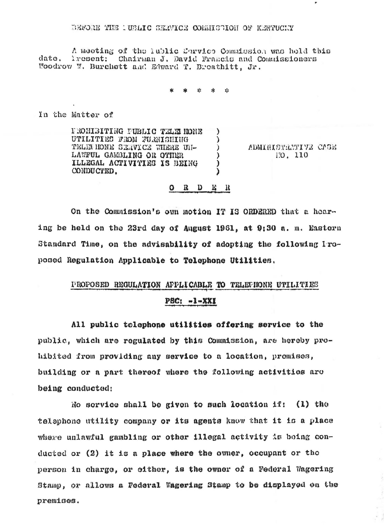## BEFORE THE IUBLIC SERVICE CORRESTION OF KENTUCKY

A meeting of the lublic Corvice Commission was held this Tresent: Chairman J. David Francis and Commissioners dato. Woodrow W. Burchett and Edward T. Breathitt, Jr.

 $12$ 

 $\lambda$ 

 $\mathcal{E}$ 

 $\mathcal{L}$ 

 $\lambda$ 

)

 $\lambda$ 

In the Matter of

FROMISITING FUBLIC TELEMONE UTILITIES FROM FURNISHING TELEMMONE SERVICE WHERE UI-LAWFUL GAMBLING OR OTHER ILLEGAL ACTIVITIES IS BEING CONDUCTED.

ADMIRITEMITIE CASE 170, 110

## $O$  R D E R

On the Commission's own motion IT IS ORDERED that a hearing be held on the 23rd day of August 1961, at 9:30 a.m. Eastern Standard Time, on the advisability of adopting the following Iroposed Regulation Applicable to Telephone Utilities.

## PROPOSED REGULATION APPLICABLE TO TELEFIONE UTILITIES

## $PBC: -I-XXI$

All public telephone utilities offering service to the public, which are regulated by this Commission, are hereby prohibited from providing any service to a location, promises, building or a part thereof where the following activities are being conducted:

No service shall be given to such location if: (1) the telephone utility company or its agents know that it is a place where unlawful gambling or other illegal activity is being conducted or  $(2)$  it is a place where the owner, occupant or the person in charge, or either, is the owner of a Federal Wagering Stamp, or allows a Federal Wagering Stamp to be displayed on the premises.